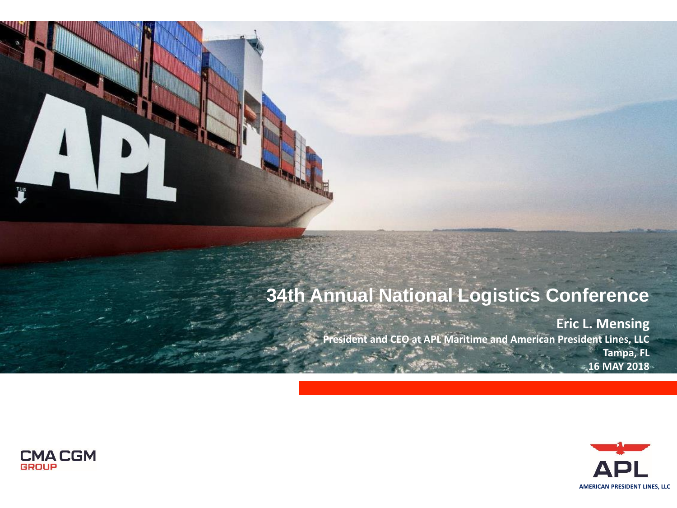### **34th Annual National Logistics Conference**

الموسيق المتحدث المجال المجال المجال المجال المجال المجال المجال المجال المجال المجال المجال المجال المجال الم<br>المجال المجال المجال المجال المجال المجال المجال المجال المجال المجال المجال المجال المجال المجال المجال المجا **Eric L. Mensing President and CEO at APL Maritime and American President Lines, LLC Tampa, FL 16 MAY 2018**





FUE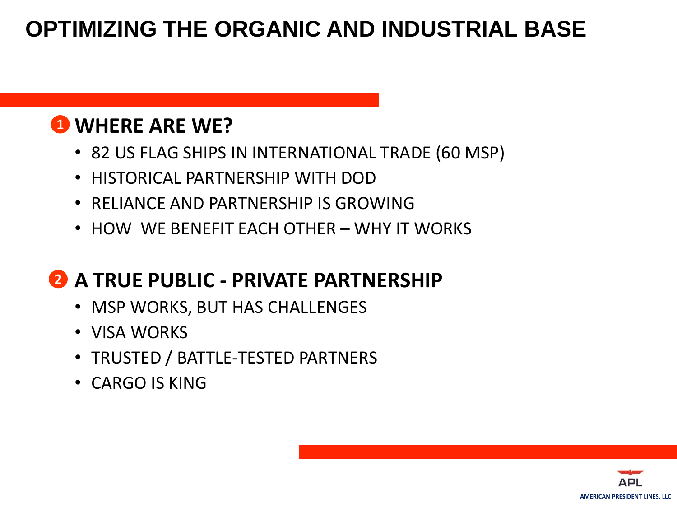# **OPTIMIZING THE ORGANIC AND INDUSTRIAL BASE**

### **WHERE ARE WE? 1**

- 82 US FLAG SHIPS IN INTERNATIONAL TRADE (60 MSP)
- HISTORICAL PARTNERSHIP WITH DOD
- RELIANCE AND PARTNERSHIP IS GROWING
- HOW WE BENEFIT EACH OTHER WHY IT WORKS

# **A TRUE PUBLIC - PRIVATE PARTNERSHIP 2**

- MSP WORKS, BUT HAS CHALLENGES
- VISA WORKS
- TRUSTED / BATTLE-TESTED PARTNERS
- CARGO IS KING

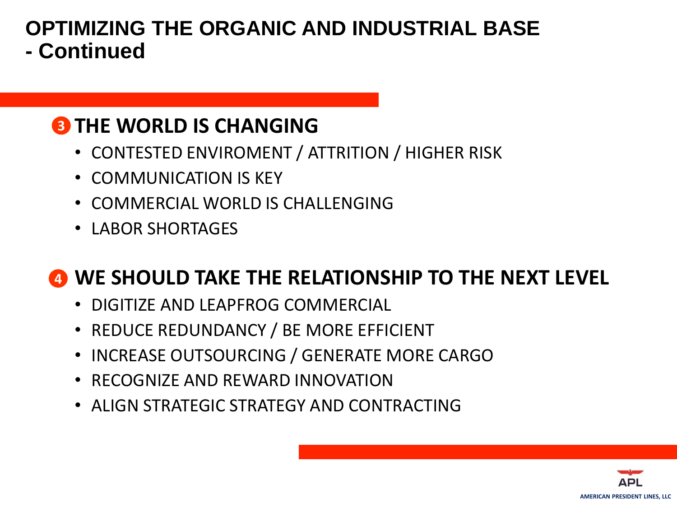#### **OPTIMIZING THE ORGANIC AND INDUSTRIAL BASE - Continued**

### **3** THE WORLD IS CHANGING

- CONTESTED ENVIROMENT / ATTRITION / HIGHER RISK
- COMMUNICATION IS KEY
- COMMERCIAL WORLD IS CHALLENGING
- LABOR SHORTAGES

### **WE SHOULD TAKE THE RELATIONSHIP TO THE NEXT LEVEL 4**

- DIGITIZE AND LEAPFROG COMMERCIAL
- REDUCE REDUNDANCY / BE MORE EFFICIENT
- INCREASE OUTSOURCING / GENERATE MORE CARGO
- RECOGNIZE AND REWARD INNOVATION
- ALIGN STRATEGIC STRATEGY AND CONTRACTING

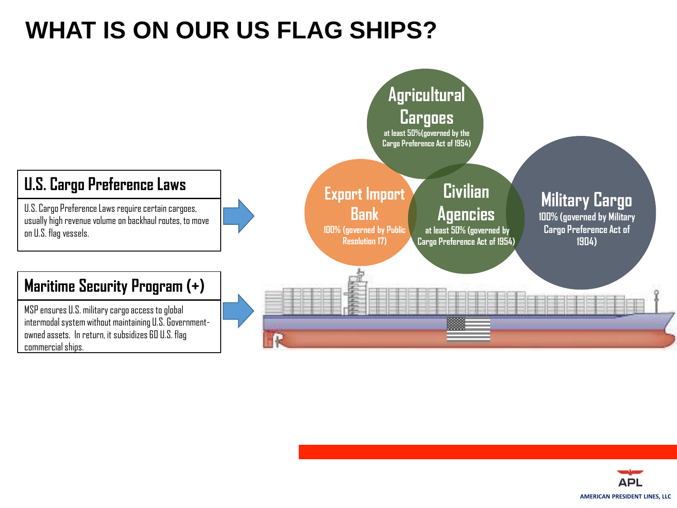# **WHAT IS ON OUR US FLAG SHIPS?**